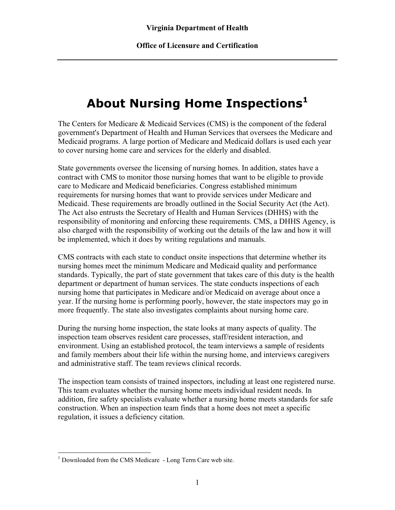## **About Nursing Home Inspections[1](#page-0-0)**

The Centers for Medicare & Medicaid Services (CMS) is the component of the federal government's Department of Health and Human Services that oversees the Medicare and Medicaid programs. A large portion of Medicare and Medicaid dollars is used each year to cover nursing home care and services for the elderly and disabled.

State governments oversee the licensing of nursing homes. In addition, states have a contract with CMS to monitor those nursing homes that want to be eligible to provide care to Medicare and Medicaid beneficiaries. Congress established minimum requirements for nursing homes that want to provide services under Medicare and Medicaid. These requirements are broadly outlined in the Social Security Act (the Act). The Act also entrusts the Secretary of Health and Human Services (DHHS) with the responsibility of monitoring and enforcing these requirements. CMS, a DHHS Agency, is also charged with the responsibility of working out the details of the law and how it will be implemented, which it does by writing regulations and manuals.

CMS contracts with each state to conduct onsite inspections that determine whether its nursing homes meet the minimum Medicare and Medicaid quality and performance standards. Typically, the part of state government that takes care of this duty is the health department or department of human services. The state conducts inspections of each nursing home that participates in Medicare and/or Medicaid on average about once a year. If the nursing home is performing poorly, however, the state inspectors may go in more frequently. The state also investigates complaints about nursing home care.

During the nursing home inspection, the state looks at many aspects of quality. The inspection team observes resident care processes, staff/resident interaction, and environment. Using an established protocol, the team interviews a sample of residents and family members about their life within the nursing home, and interviews caregivers and administrative staff. The team reviews clinical records.

The inspection team consists of trained inspectors, including at least one registered nurse. This team evaluates whether the nursing home meets individual resident needs. In addition, fire safety specialists evaluate whether a nursing home meets standards for safe construction. When an inspection team finds that a home does not meet a specific regulation, it issues a deficiency citation.

<u>.</u>

<span id="page-0-0"></span><sup>&</sup>lt;sup>1</sup> Downloaded from the CMS Medicare - Long Term Care web site.